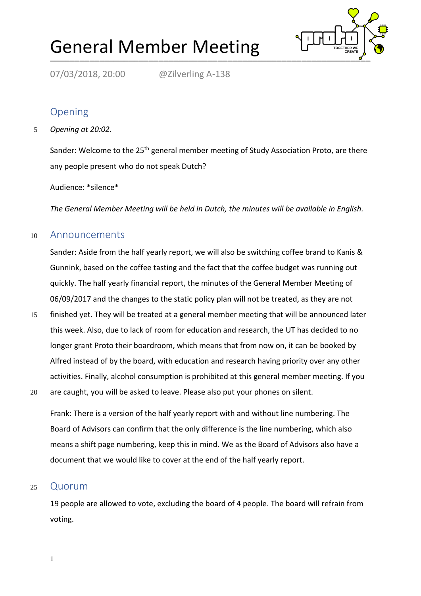# General Member Meeting



07/03/2018, 20:00 @Zilverling A-138

## Opening

5 *Opening at 20:02.*

Sander: Welcome to the 25<sup>th</sup> general member meeting of Study Association Proto, are there any people present who do not speak Dutch?

#### Audience: \*silence\*

*The General Member Meeting will be held in Dutch, the minutes will be available in English.*

#### <sup>10</sup> Announcements

Sander: Aside from the half yearly report, we will also be switching coffee brand to Kanis & Gunnink, based on the coffee tasting and the fact that the coffee budget was running out quickly. The half yearly financial report, the minutes of the General Member Meeting of 06/09/2017 and the changes to the static policy plan will not be treated, as they are not

- 15 finished yet. They will be treated at a general member meeting that will be announced later this week. Also, due to lack of room for education and research, the UT has decided to no longer grant Proto their boardroom, which means that from now on, it can be booked by Alfred instead of by the board, with education and research having priority over any other activities. Finally, alcohol consumption is prohibited at this general member meeting. If you
- 20 are caught, you will be asked to leave. Please also put your phones on silent.

Frank: There is a version of the half yearly report with and without line numbering. The Board of Advisors can confirm that the only difference is the line numbering, which also means a shift page numbering, keep this in mind. We as the Board of Advisors also have a document that we would like to cover at the end of the half yearly report.

#### <sup>25</sup> Quorum

19 people are allowed to vote, excluding the board of 4 people. The board will refrain from voting.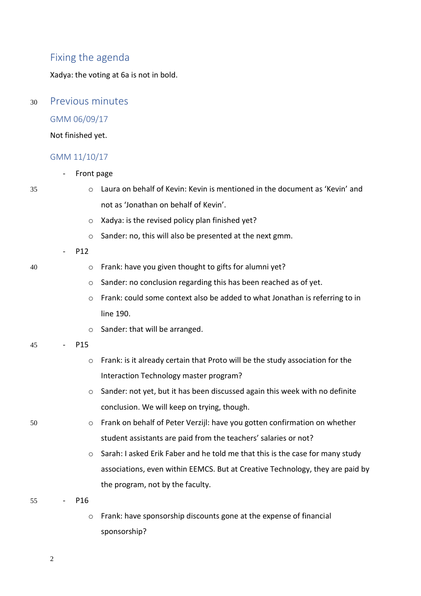### Fixing the agenda

Xadya: the voting at 6a is not in bold.

#### <sup>30</sup> Previous minutes

#### GMM 06/09/17

Not finished yet.

#### GMM 11/10/17

- Front page

- 35 o Laura on behalf of Kevin: Kevin is mentioned in the document as 'Kevin' and not as 'Jonathan on behalf of Kevin'.
	- o Xadya: is the revised policy plan finished yet?
	- o Sander: no, this will also be presented at the next gmm.
	- P12
- 40 o Frank: have you given thought to gifts for alumni yet?
	- o Sander: no conclusion regarding this has been reached as of yet.
	- o Frank: could some context also be added to what Jonathan is referring to in line 190.
	- o Sander: that will be arranged.
- 45 P15
	- o Frank: is it already certain that Proto will be the study association for the Interaction Technology master program?
	- $\circ$  Sander: not yet, but it has been discussed again this week with no definite conclusion. We will keep on trying, though.
- 50 o Frank on behalf of Peter Verzijl: have you gotten confirmation on whether student assistants are paid from the teachers' salaries or not?
	- o Sarah: I asked Erik Faber and he told me that this is the case for many study associations, even within EEMCS. But at Creative Technology, they are paid by the program, not by the faculty.

55 - P16

o Frank: have sponsorship discounts gone at the expense of financial sponsorship?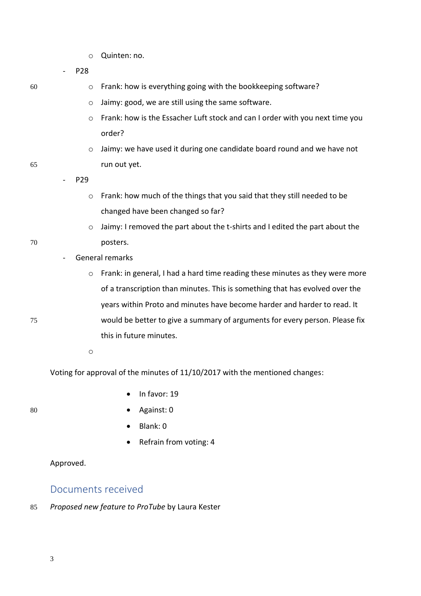o Quinten: no.

- P28

- $60$  o Frank: how is everything going with the bookkeeping software?
	- o Jaimy: good, we are still using the same software.
	- o Frank: how is the Essacher Luft stock and can I order with you next time you order?
- o Jaimy: we have used it during one candidate board round and we have not 65 run out yet.

- P29

- o Frank: how much of the things that you said that they still needed to be changed have been changed so far?
- $\circ$  Jaimy: I removed the part about the t-shirts and I edited the part about the 70 posters.
	- General remarks
- o Frank: in general, I had a hard time reading these minutes as they were more of a transcription than minutes. This is something that has evolved over the years within Proto and minutes have become harder and harder to read. It 75 would be better to give a summary of arguments for every person. Please fix this in future minutes.

o

Voting for approval of the minutes of 11/10/2017 with the mentioned changes:

• In favor: 19

- 
- 80 Against: 0
	- Blank: 0
	- Refrain from voting: 4

Approved.

#### Documents received

85 *Proposed new feature to ProTube* by Laura Kester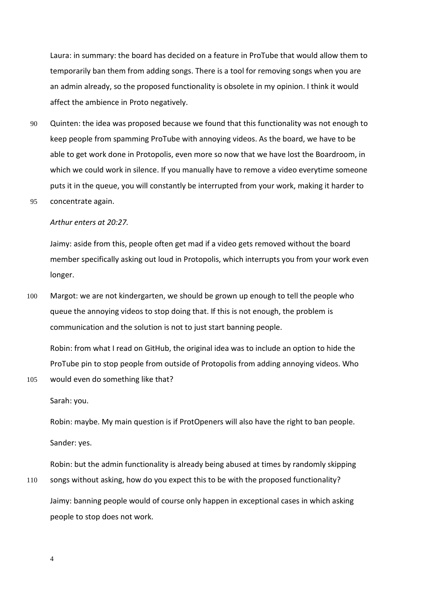Laura: in summary: the board has decided on a feature in ProTube that would allow them to temporarily ban them from adding songs. There is a tool for removing songs when you are an admin already, so the proposed functionality is obsolete in my opinion. I think it would affect the ambience in Proto negatively.

- 90 Quinten: the idea was proposed because we found that this functionality was not enough to keep people from spamming ProTube with annoying videos. As the board, we have to be able to get work done in Protopolis, even more so now that we have lost the Boardroom, in which we could work in silence. If you manually have to remove a video everytime someone puts it in the queue, you will constantly be interrupted from your work, making it harder to
- 95 concentrate again.

#### *Arthur enters at 20:27.*

Jaimy: aside from this, people often get mad if a video gets removed without the board member specifically asking out loud in Protopolis, which interrupts you from your work even longer.

100 Margot: we are not kindergarten, we should be grown up enough to tell the people who queue the annoying videos to stop doing that. If this is not enough, the problem is communication and the solution is not to just start banning people.

Robin: from what I read on GitHub, the original idea was to include an option to hide the ProTube pin to stop people from outside of Protopolis from adding annoying videos. Who 105 would even do something like that?

Sarah: you.

Robin: maybe. My main question is if ProtOpeners will also have the right to ban people. Sander: yes.

Robin: but the admin functionality is already being abused at times by randomly skipping

110 songs without asking, how do you expect this to be with the proposed functionality? Jaimy: banning people would of course only happen in exceptional cases in which asking people to stop does not work.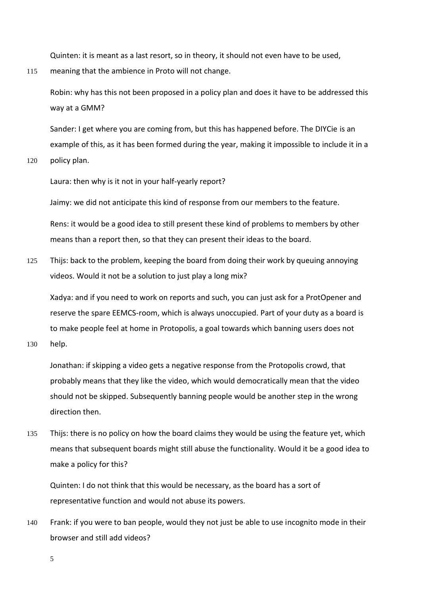Quinten: it is meant as a last resort, so in theory, it should not even have to be used,

115 meaning that the ambience in Proto will not change.

Robin: why has this not been proposed in a policy plan and does it have to be addressed this way at a GMM?

Sander: I get where you are coming from, but this has happened before. The DIYCie is an example of this, as it has been formed during the year, making it impossible to include it in a

120 policy plan.

Laura: then why is it not in your half-yearly report?

Jaimy: we did not anticipate this kind of response from our members to the feature.

Rens: it would be a good idea to still present these kind of problems to members by other means than a report then, so that they can present their ideas to the board.

125 Thijs: back to the problem, keeping the board from doing their work by queuing annoying videos. Would it not be a solution to just play a long mix?

Xadya: and if you need to work on reports and such, you can just ask for a ProtOpener and reserve the spare EEMCS-room, which is always unoccupied. Part of your duty as a board is to make people feel at home in Protopolis, a goal towards which banning users does not

130 help.

Jonathan: if skipping a video gets a negative response from the Protopolis crowd, that probably means that they like the video, which would democratically mean that the video should not be skipped. Subsequently banning people would be another step in the wrong direction then.

135 Thijs: there is no policy on how the board claims they would be using the feature yet, which means that subsequent boards might still abuse the functionality. Would it be a good idea to make a policy for this?

Quinten: I do not think that this would be necessary, as the board has a sort of representative function and would not abuse its powers.

140 Frank: if you were to ban people, would they not just be able to use incognito mode in their browser and still add videos?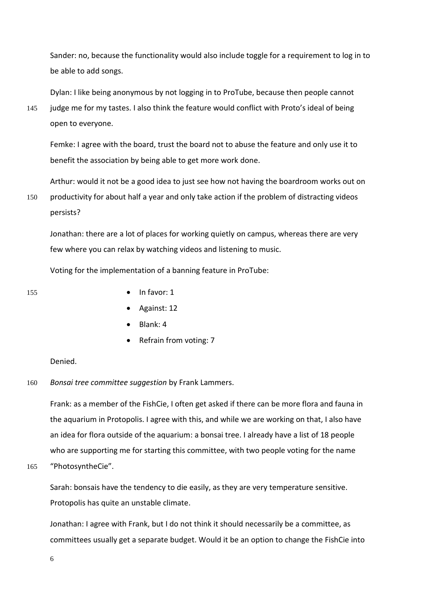Sander: no, because the functionality would also include toggle for a requirement to log in to be able to add songs.

Dylan: I like being anonymous by not logging in to ProTube, because then people cannot

145 judge me for my tastes. I also think the feature would conflict with Proto's ideal of being open to everyone.

Femke: I agree with the board, trust the board not to abuse the feature and only use it to benefit the association by being able to get more work done.

Arthur: would it not be a good idea to just see how not having the boardroom works out on 150 productivity for about half a year and only take action if the problem of distracting videos persists?

Jonathan: there are a lot of places for working quietly on campus, whereas there are very few where you can relax by watching videos and listening to music.

Voting for the implementation of a banning feature in ProTube:

- 155 In favor: 1
	- Against: 12
	- Blank: 4
	- Refrain from voting: 7

Denied.

160 *Bonsai tree committee suggestion* by Frank Lammers.

Frank: as a member of the FishCie, I often get asked if there can be more flora and fauna in the aquarium in Protopolis. I agree with this, and while we are working on that, I also have an idea for flora outside of the aquarium: a bonsai tree. I already have a list of 18 people who are supporting me for starting this committee, with two people voting for the name

165 "PhotosyntheCie".

Sarah: bonsais have the tendency to die easily, as they are very temperature sensitive. Protopolis has quite an unstable climate.

Jonathan: I agree with Frank, but I do not think it should necessarily be a committee, as committees usually get a separate budget. Would it be an option to change the FishCie into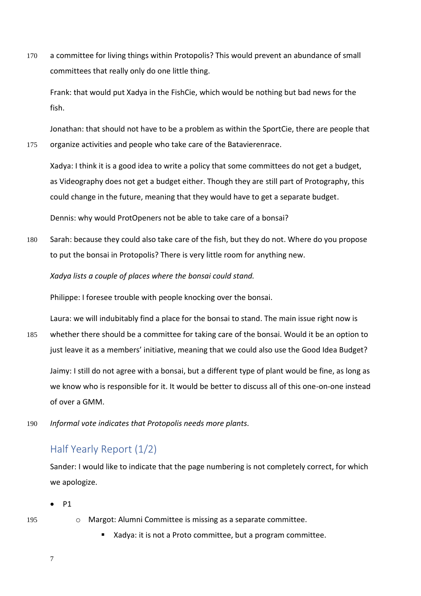170 a committee for living things within Protopolis? This would prevent an abundance of small committees that really only do one little thing.

Frank: that would put Xadya in the FishCie, which would be nothing but bad news for the fish.

Jonathan: that should not have to be a problem as within the SportCie, there are people that 175 organize activities and people who take care of the Batavierenrace.

Xadya: I think it is a good idea to write a policy that some committees do not get a budget, as Videography does not get a budget either. Though they are still part of Protography, this could change in the future, meaning that they would have to get a separate budget.

Dennis: why would ProtOpeners not be able to take care of a bonsai?

180 Sarah: because they could also take care of the fish, but they do not. Where do you propose to put the bonsai in Protopolis? There is very little room for anything new.

*Xadya lists a couple of places where the bonsai could stand.*

Philippe: I foresee trouble with people knocking over the bonsai.

Laura: we will indubitably find a place for the bonsai to stand. The main issue right now is 185 whether there should be a committee for taking care of the bonsai. Would it be an option to just leave it as a members' initiative, meaning that we could also use the Good Idea Budget?

Jaimy: I still do not agree with a bonsai, but a different type of plant would be fine, as long as we know who is responsible for it. It would be better to discuss all of this one-on-one instead of over a GMM.

190 *Informal vote indicates that Protopolis needs more plants.*

## Half Yearly Report (1/2)

Sander: I would like to indicate that the page numbering is not completely correct, for which we apologize.

- P1
- 
- 195 **o** Margot: Alumni Committee is missing as a separate committee.
	- Xadya: it is not a Proto committee, but a program committee.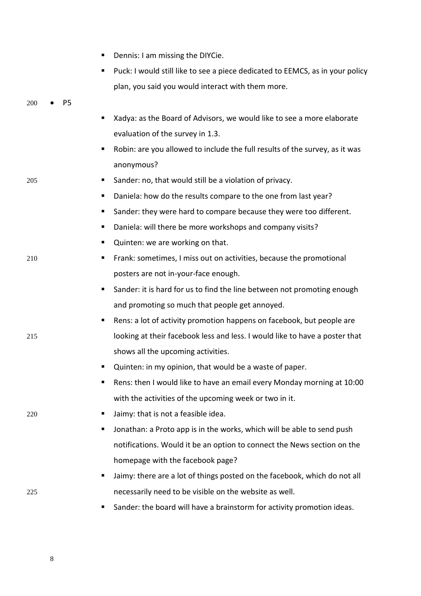|     |    | Dennis: I am missing the DIYCie.<br>п                                              |
|-----|----|------------------------------------------------------------------------------------|
|     |    | Puck: I would still like to see a piece dedicated to EEMCS, as in your policy<br>п |
|     |    | plan, you said you would interact with them more.                                  |
| 200 | P5 |                                                                                    |
|     |    | Xadya: as the Board of Advisors, we would like to see a more elaborate             |
|     |    | evaluation of the survey in 1.3.                                                   |
|     |    | Robin: are you allowed to include the full results of the survey, as it was<br>ш   |
|     |    | anonymous?                                                                         |
| 205 |    | Sander: no, that would still be a violation of privacy.<br>п                       |
|     |    | Daniela: how do the results compare to the one from last year?<br>п,               |
|     |    | Sander: they were hard to compare because they were too different.<br>ш            |
|     |    | Daniela: will there be more workshops and company visits?<br>٠                     |
|     |    | Quinten: we are working on that.<br>ш                                              |
| 210 |    | Frank: sometimes, I miss out on activities, because the promotional<br>п           |
|     |    | posters are not in-your-face enough.                                               |
|     |    | Sander: it is hard for us to find the line between not promoting enough<br>п       |
|     |    | and promoting so much that people get annoyed.                                     |
|     |    | Rens: a lot of activity promotion happens on facebook, but people are<br>п         |
| 215 |    | looking at their facebook less and less. I would like to have a poster that        |
|     |    | shows all the upcoming activities.                                                 |
|     |    | Quinten: in my opinion, that would be a waste of paper.                            |
|     |    | Rens: then I would like to have an email every Monday morning at 10:00<br>п        |
|     |    | with the activities of the upcoming week or two in it.                             |
| 220 |    | Jaimy: that is not a feasible idea.<br>п                                           |
|     |    | Jonathan: a Proto app is in the works, which will be able to send push<br>п        |
|     |    | notifications. Would it be an option to connect the News section on the            |
|     |    | homepage with the facebook page?                                                   |
|     |    | Jaimy: there are a lot of things posted on the facebook, which do not all<br>п     |
| 225 |    | necessarily need to be visible on the website as well.                             |
|     |    | Sander: the board will have a brainstorm for activity promotion ideas.<br>ш        |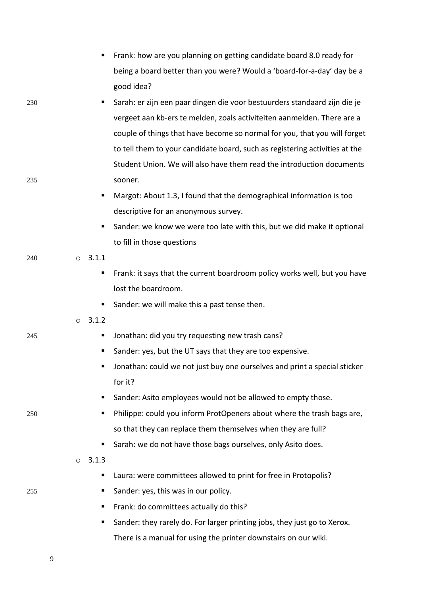|     |         |                | Frank: how are you planning on getting candidate board 8.0 ready for        |
|-----|---------|----------------|-----------------------------------------------------------------------------|
|     |         |                | being a board better than you were? Would a 'board-for-a-day' day be a      |
|     |         |                | good idea?                                                                  |
| 230 |         | п              | Sarah: er zijn een paar dingen die voor bestuurders standaard zijn die je   |
|     |         |                | vergeet aan kb-ers te melden, zoals activiteiten aanmelden. There are a     |
|     |         |                | couple of things that have become so normal for you, that you will forget   |
|     |         |                | to tell them to your candidate board, such as registering activities at the |
|     |         |                | Student Union. We will also have them read the introduction documents       |
| 235 |         |                | sooner.                                                                     |
|     |         | п              | Margot: About 1.3, I found that the demographical information is too        |
|     |         |                | descriptive for an anonymous survey.                                        |
|     |         | ٠              | Sander: we know we were too late with this, but we did make it optional     |
|     |         |                | to fill in those questions                                                  |
| 240 |         | $0\quad 3.1.1$ |                                                                             |
|     |         | п              | Frank: it says that the current boardroom policy works well, but you have   |
|     |         |                | lost the boardroom.                                                         |
|     |         |                | Sander: we will make this a past tense then.                                |
|     | $\circ$ | 3.1.2          |                                                                             |
| 245 |         | п              | Jonathan: did you try requesting new trash cans?                            |
|     |         |                | Sander: yes, but the UT says that they are too expensive.                   |
|     |         |                | Jonathan: could we not just buy one ourselves and print a special sticker   |
|     |         |                | for it?                                                                     |
|     |         | п              | Sander: Asito employees would not be allowed to empty those.                |
| 250 |         | п              | Philippe: could you inform ProtOpeners about where the trash bags are,      |
|     |         |                | so that they can replace them themselves when they are full?                |
|     |         | ٠              | Sarah: we do not have those bags ourselves, only Asito does.                |
|     | $\circ$ | 3.1.3          |                                                                             |
|     |         | п              | Laura: were committees allowed to print for free in Protopolis?             |
| 255 |         |                | Sander: yes, this was in our policy.                                        |
|     |         | п              | Frank: do committees actually do this?                                      |
|     |         | п              | Sander: they rarely do. For larger printing jobs, they just go to Xerox.    |
|     |         |                | There is a manual for using the printer downstairs on our wiki.             |
|     |         |                |                                                                             |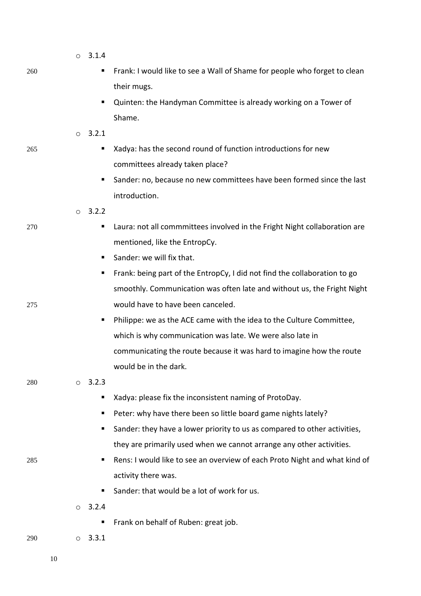|     | $\circ$ | 3.1.4 |                                                                            |
|-----|---------|-------|----------------------------------------------------------------------------|
| 260 |         | ш     | Frank: I would like to see a Wall of Shame for people who forget to clean  |
|     |         |       | their mugs.                                                                |
|     |         | п     | Quinten: the Handyman Committee is already working on a Tower of           |
|     |         |       | Shame.                                                                     |
|     | $\circ$ | 3.2.1 |                                                                            |
| 265 |         | п     | Xadya: has the second round of function introductions for new              |
|     |         |       | committees already taken place?                                            |
|     |         | ш     | Sander: no, because no new committees have been formed since the last      |
|     |         |       | introduction.                                                              |
|     | $\circ$ | 3.2.2 |                                                                            |
| 270 |         | п     | Laura: not all commmittees involved in the Fright Night collaboration are  |
|     |         |       | mentioned, like the EntropCy.                                              |
|     |         | ш     | Sander: we will fix that.                                                  |
|     |         | п     | Frank: being part of the EntropCy, I did not find the collaboration to go  |
|     |         |       | smoothly. Communication was often late and without us, the Fright Night    |
| 275 |         |       | would have to have been canceled.                                          |
|     |         | п     | Philippe: we as the ACE came with the idea to the Culture Committee,       |
|     |         |       | which is why communication was late. We were also late in                  |
|     |         |       | communicating the route because it was hard to imagine how the route       |
|     |         |       | would be in the dark.                                                      |
| 280 | $\circ$ | 3.2.3 |                                                                            |
|     |         | ш     | Xadya: please fix the inconsistent naming of ProtoDay.                     |
|     |         | п     | Peter: why have there been so little board game nights lately?             |
|     |         | ٠     | Sander: they have a lower priority to us as compared to other activities,  |
|     |         |       | they are primarily used when we cannot arrange any other activities.       |
| 285 |         | п     | Rens: I would like to see an overview of each Proto Night and what kind of |
|     |         |       | activity there was.                                                        |
|     |         | ٠     | Sander: that would be a lot of work for us.                                |
|     | $\circ$ | 3.2.4 |                                                                            |
|     |         | п     | Frank on behalf of Ruben: great job.                                       |
| 290 | $\circ$ | 3.3.1 |                                                                            |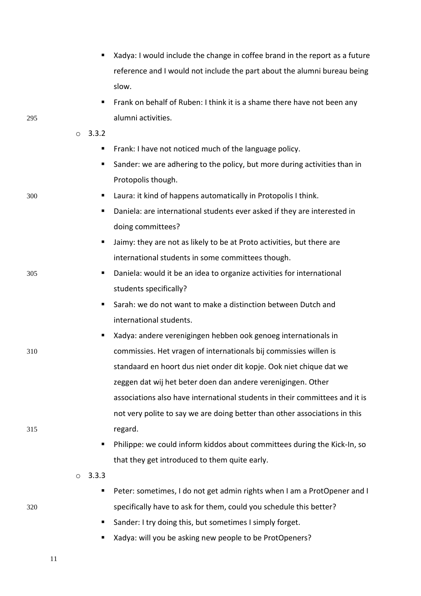|     | п                | Xadya: I would include the change in coffee brand in the report as a future |
|-----|------------------|-----------------------------------------------------------------------------|
|     |                  | reference and I would not include the part about the alumni bureau being    |
|     |                  | slow.                                                                       |
|     | ٠                | Frank on behalf of Ruben: I think it is a shame there have not been any     |
| 295 |                  | alumni activities.                                                          |
|     | 3.3.2<br>$\circ$ |                                                                             |
|     | п                | Frank: I have not noticed much of the language policy.                      |
|     | ٠                | Sander: we are adhering to the policy, but more during activities than in   |
|     |                  | Protopolis though.                                                          |
| 300 | ٠                | Laura: it kind of happens automatically in Protopolis I think.              |
|     | ٠                | Daniela: are international students ever asked if they are interested in    |
|     |                  | doing committees?                                                           |
|     | ш                | Jaimy: they are not as likely to be at Proto activities, but there are      |
|     |                  | international students in some committees though.                           |
| 305 | п                | Daniela: would it be an idea to organize activities for international       |
|     |                  | students specifically?                                                      |
|     | ٠                | Sarah: we do not want to make a distinction between Dutch and               |
|     |                  | international students.                                                     |
|     | ٠                | Xadya: andere verenigingen hebben ook genoeg internationals in              |
| 310 |                  | commissies. Het vragen of internationals bij commissies willen is           |
|     |                  | standaard en hoort dus niet onder dit kopje. Ook niet chique dat we         |
|     |                  | zeggen dat wij het beter doen dan andere verenigingen. Other                |
|     |                  | associations also have international students in their committees and it is |
|     |                  | not very polite to say we are doing better than other associations in this  |
| 315 |                  | regard.                                                                     |
|     | ٠                | Philippe: we could inform kiddos about committees during the Kick-In, so    |
|     |                  | that they get introduced to them quite early.                               |
|     | 3.3.3<br>$\circ$ |                                                                             |
|     | п                | Peter: sometimes, I do not get admin rights when I am a ProtOpener and I    |
| 320 |                  | specifically have to ask for them, could you schedule this better?          |
|     | ш                | Sander: I try doing this, but sometimes I simply forget.                    |
|     | ٠                | Xadya: will you be asking new people to be ProtOpeners?                     |
|     | 11               |                                                                             |
|     |                  |                                                                             |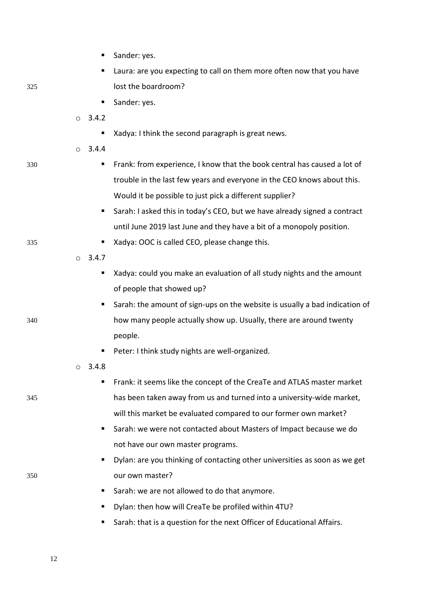|     |         | ш             | Sander: yes.                                                                |
|-----|---------|---------------|-----------------------------------------------------------------------------|
|     |         | п             | Laura: are you expecting to call on them more often now that you have       |
| 325 |         |               | lost the boardroom?                                                         |
|     |         | п             | Sander: yes.                                                                |
|     | $\circ$ | 3.4.2         |                                                                             |
|     |         | п             | Xadya: I think the second paragraph is great news.                          |
|     |         | 0 3.4.4       |                                                                             |
| 330 |         | ш             | Frank: from experience, I know that the book central has caused a lot of    |
|     |         |               | trouble in the last few years and everyone in the CEO knows about this.     |
|     |         |               | Would it be possible to just pick a different supplier?                     |
|     |         | ш             | Sarah: I asked this in today's CEO, but we have already signed a contract   |
|     |         |               | until June 2019 last June and they have a bit of a monopoly position.       |
| 335 |         | п             | Xadya: OOC is called CEO, please change this.                               |
|     |         | $\circ$ 3.4.7 |                                                                             |
|     |         | п             | Xadya: could you make an evaluation of all study nights and the amount      |
|     |         |               | of people that showed up?                                                   |
|     |         | ш             | Sarah: the amount of sign-ups on the website is usually a bad indication of |
| 340 |         |               | how many people actually show up. Usually, there are around twenty          |
|     |         |               | people.                                                                     |
|     |         |               | Peter: I think study nights are well-organized.                             |
|     |         | 3.4.8         |                                                                             |
|     |         | ш             | Frank: it seems like the concept of the CreaTe and ATLAS master market      |
| 345 |         |               | has been taken away from us and turned into a university-wide market,       |
|     |         |               | will this market be evaluated compared to our former own market?            |
|     |         | ш             | Sarah: we were not contacted about Masters of Impact because we do          |
|     |         |               | not have our own master programs.                                           |
|     |         |               | Dylan: are you thinking of contacting other universities as soon as we get  |
| 350 |         |               | our own master?                                                             |
|     |         | ш             | Sarah: we are not allowed to do that anymore.                               |
|     |         | п             | Dylan: then how will CreaTe be profiled within 4TU?                         |
|     |         |               | Sarah: that is a question for the next Officer of Educational Affairs.      |
|     |         |               |                                                                             |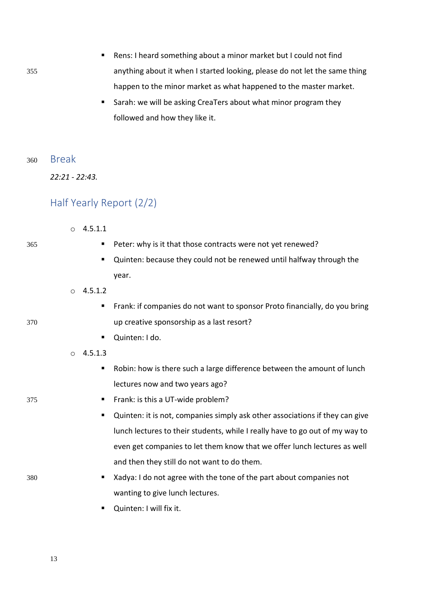355 anything about it when I started looking, please do not let the same thing happen to the minor market as what happened to the master market. ■ Sarah: we will be asking CreaTers about what minor program they followed and how they like it. <sup>360</sup> Break *22:21 - 22:43.* Half Yearly Report (2/2)  $04.5.1.1$ 365 ▪ Peter: why is it that those contracts were not yet renewed? ■ Quinten: because they could not be renewed until halfway through the year.  $0, 4.5.1.2$ ■ Frank: if companies do not want to sponsor Proto financially, do you bring 370 up creative sponsorship as a last resort? ■ Quinten: I do.  $O$  4.5.1.3 ■ Robin: how is there such a large difference between the amount of lunch lectures now and two years ago? 375 **• Frank: is this a UT-wide problem?** ■ Quinten: it is not, companies simply ask other associations if they can give

■ Rens: I heard something about a minor market but I could not find

- lunch lectures to their students, while I really have to go out of my way to even get companies to let them know that we offer lunch lectures as well and then they still do not want to do them.
- 380  **Xadya: I do not agree with the tone of the part about companies not** wanting to give lunch lectures.
	- Ouinten: I will fix it.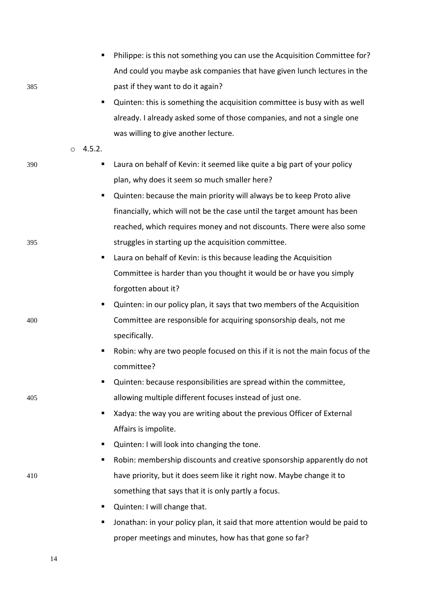|     |         | п      | Philippe: is this not something you can use the Acquisition Committee for?   |
|-----|---------|--------|------------------------------------------------------------------------------|
|     |         |        | And could you maybe ask companies that have given lunch lectures in the      |
| 385 |         |        | past if they want to do it again?                                            |
|     |         | п      | Quinten: this is something the acquisition committee is busy with as well    |
|     |         |        | already. I already asked some of those companies, and not a single one       |
|     |         |        | was willing to give another lecture.                                         |
|     | $\circ$ | 4.5.2. |                                                                              |
| 390 |         | Е      | Laura on behalf of Kevin: it seemed like quite a big part of your policy     |
|     |         |        | plan, why does it seem so much smaller here?                                 |
|     |         | п      | Quinten: because the main priority will always be to keep Proto alive        |
|     |         |        | financially, which will not be the case until the target amount has been     |
|     |         |        | reached, which requires money and not discounts. There were also some        |
| 395 |         |        | struggles in starting up the acquisition committee.                          |
|     |         | п      | Laura on behalf of Kevin: is this because leading the Acquisition            |
|     |         |        | Committee is harder than you thought it would be or have you simply          |
|     |         |        | forgotten about it?                                                          |
|     |         | п      | Quinten: in our policy plan, it says that two members of the Acquisition     |
| 400 |         |        | Committee are responsible for acquiring sponsorship deals, not me            |
|     |         |        | specifically.                                                                |
|     |         |        | Robin: why are two people focused on this if it is not the main focus of the |
|     |         |        | committee?                                                                   |
|     |         | п      | Quinten: because responsibilities are spread within the committee,           |
| 405 |         |        | allowing multiple different focuses instead of just one.                     |
|     |         | ٠      | Xadya: the way you are writing about the previous Officer of External        |
|     |         |        | Affairs is impolite.                                                         |
|     |         | ٠      | Quinten: I will look into changing the tone.                                 |
|     |         | ٠      | Robin: membership discounts and creative sponsorship apparently do not       |
| 410 |         |        | have priority, but it does seem like it right now. Maybe change it to        |
|     |         |        | something that says that it is only partly a focus.                          |
|     |         | п      | Quinten: I will change that.                                                 |
|     |         | Е      | Jonathan: in your policy plan, it said that more attention would be paid to  |
|     |         |        | proper meetings and minutes, how has that gone so far?                       |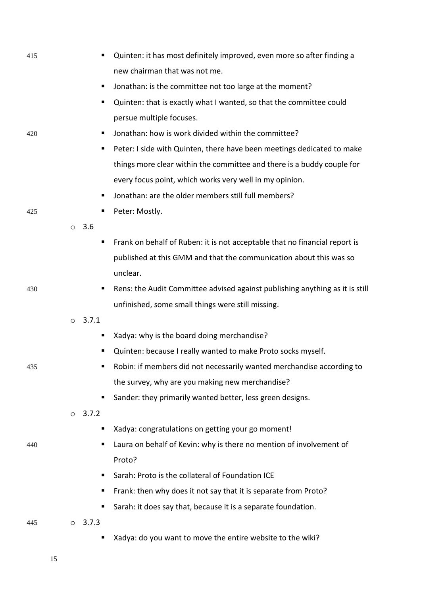| 415 |         |       | Quinten: it has most definitely improved, even more so after finding a       |
|-----|---------|-------|------------------------------------------------------------------------------|
|     |         |       | new chairman that was not me.                                                |
|     |         | п     | Jonathan: is the committee not too large at the moment?                      |
|     |         |       | Quinten: that is exactly what I wanted, so that the committee could          |
|     |         |       | persue multiple focuses.                                                     |
| 420 |         |       | Jonathan: how is work divided within the committee?                          |
|     |         | п     | Peter: I side with Quinten, there have been meetings dedicated to make       |
|     |         |       | things more clear within the committee and there is a buddy couple for       |
|     |         |       | every focus point, which works very well in my opinion.                      |
|     |         | п     | Jonathan: are the older members still full members?                          |
| 425 |         | п     | Peter: Mostly.                                                               |
|     | $\circ$ | 3.6   |                                                                              |
|     |         | п     | Frank on behalf of Ruben: it is not acceptable that no financial report is   |
|     |         |       | published at this GMM and that the communication about this was so           |
|     |         |       | unclear.                                                                     |
| 430 |         | п     | Rens: the Audit Committee advised against publishing anything as it is still |
|     |         |       | unfinished, some small things were still missing.                            |
|     | $\circ$ | 3.7.1 |                                                                              |
|     |         |       | Xadya: why is the board doing merchandise?                                   |
|     |         | п     | Quinten: because I really wanted to make Proto socks myself.                 |
| 435 |         |       | Robin: if members did not necessarily wanted merchandise according to        |
|     |         |       | the survey, why are you making new merchandise?                              |
|     |         | п     | Sander: they primarily wanted better, less green designs.                    |
|     | $\circ$ | 3.7.2 |                                                                              |
|     |         |       | Xadya: congratulations on getting your go moment!                            |
| 440 |         |       | Laura on behalf of Kevin: why is there no mention of involvement of          |
|     |         |       | Proto?                                                                       |
|     |         |       | Sarah: Proto is the collateral of Foundation ICE                             |
|     |         | п     | Frank: then why does it not say that it is separate from Proto?              |
|     |         |       | Sarah: it does say that, because it is a separate foundation.                |
| 445 | $\circ$ | 3.7.3 |                                                                              |
|     |         |       | Xadya: do you want to move the entire website to the wiki?                   |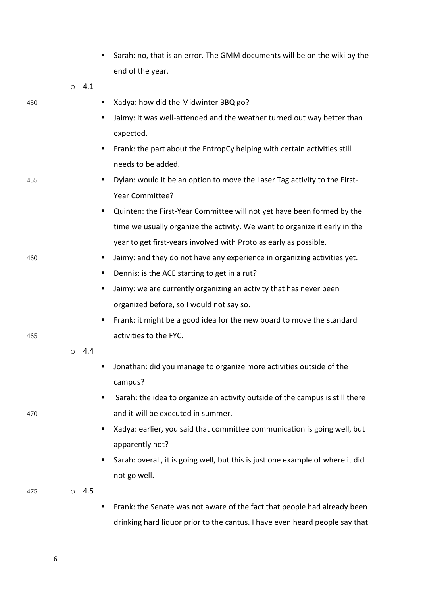|     |         |     |   | Sarah: no, that is an error. The GMM documents will be on the wiki by the      |
|-----|---------|-----|---|--------------------------------------------------------------------------------|
|     |         |     |   | end of the year.                                                               |
|     | $\circ$ | 4.1 |   |                                                                                |
| 450 |         |     | ш | Xadya: how did the Midwinter BBQ go?                                           |
|     |         |     | ٠ | Jaimy: it was well-attended and the weather turned out way better than         |
|     |         |     |   | expected.                                                                      |
|     |         |     | ٠ | Frank: the part about the EntropCy helping with certain activities still       |
|     |         |     |   | needs to be added.                                                             |
| 455 |         |     | ш | Dylan: would it be an option to move the Laser Tag activity to the First-      |
|     |         |     |   | Year Committee?                                                                |
|     |         |     | п | Quinten: the First-Year Committee will not yet have been formed by the         |
|     |         |     |   | time we usually organize the activity. We want to organize it early in the     |
|     |         |     |   | year to get first-years involved with Proto as early as possible.              |
| 460 |         |     | п | Jaimy: and they do not have any experience in organizing activities yet.       |
|     |         |     | п | Dennis: is the ACE starting to get in a rut?                                   |
|     |         |     | п | Jaimy: we are currently organizing an activity that has never been             |
|     |         |     |   | organized before, so I would not say so.                                       |
|     |         |     | п | Frank: it might be a good idea for the new board to move the standard          |
| 465 |         |     |   | activities to the FYC.                                                         |
|     | $\circ$ | 4.4 |   |                                                                                |
|     |         |     |   | Jonathan: did you manage to organize more activities outside of the            |
|     |         |     |   | campus?                                                                        |
|     |         |     | п | Sarah: the idea to organize an activity outside of the campus is still there   |
| 470 |         |     |   | and it will be executed in summer.                                             |
|     |         |     | п | Xadya: earlier, you said that committee communication is going well, but       |
|     |         |     |   | apparently not?                                                                |
|     |         |     | п | Sarah: overall, it is going well, but this is just one example of where it did |
|     |         |     |   | not go well.                                                                   |
| 475 | $\circ$ | 4.5 |   |                                                                                |
|     |         |     |   | Frank: the Senate was not aware of the fact that people had already been       |
|     |         |     |   | drinking hard liquor prior to the cantus. I have even heard people say that    |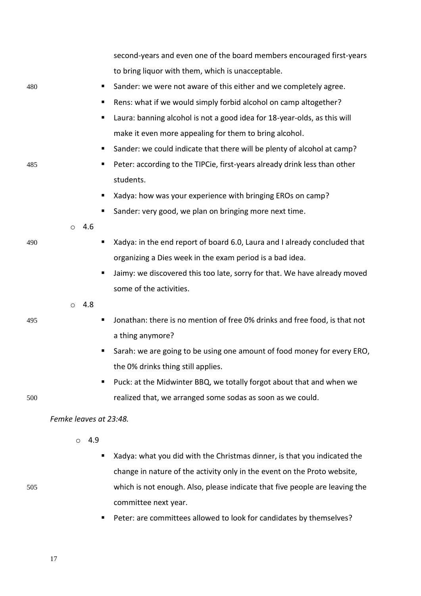|     |                        | second-years and even one of the board members encouraged first-years      |
|-----|------------------------|----------------------------------------------------------------------------|
|     |                        | to bring liquor with them, which is unacceptable.                          |
| 480 | п                      | Sander: we were not aware of this either and we completely agree.          |
|     |                        | Rens: what if we would simply forbid alcohol on camp altogether?           |
|     | п                      | Laura: banning alcohol is not a good idea for 18-year-olds, as this will   |
|     |                        | make it even more appealing for them to bring alcohol.                     |
|     |                        | Sander: we could indicate that there will be plenty of alcohol at camp?    |
| 485 | п                      | Peter: according to the TIPCie, first-years already drink less than other  |
|     |                        | students.                                                                  |
|     |                        | Xadya: how was your experience with bringing EROs on camp?                 |
|     |                        | Sander: very good, we plan on bringing more next time.                     |
|     | 4.6<br>$\circ$         |                                                                            |
| 490 |                        | Xadya: in the end report of board 6.0, Laura and I already concluded that  |
|     |                        | organizing a Dies week in the exam period is a bad idea.                   |
|     | п                      | Jaimy: we discovered this too late, sorry for that. We have already moved  |
|     |                        | some of the activities.                                                    |
|     | 4.8<br>$\circ$         |                                                                            |
| 495 | п                      | Jonathan: there is no mention of free 0% drinks and free food, is that not |
|     |                        | a thing anymore?                                                           |
|     | п                      | Sarah: we are going to be using one amount of food money for every ERO,    |
|     |                        | the 0% drinks thing still applies.                                         |
|     |                        | Puck: at the Midwinter BBQ, we totally forgot about that and when we       |
| 500 |                        | realized that, we arranged some sodas as soon as we could.                 |
|     | Femke leaves at 23:48. |                                                                            |
|     | 4.9<br>$\circ$         |                                                                            |
|     |                        | Xadya: what you did with the Christmas dinner, is that you indicated the   |
|     |                        | change in nature of the activity only in the event on the Proto website,   |

- 505 which is not enough. Also, please indicate that five people are leaving the
	- committee next year. ■ Peter: are committees allowed to look for candidates by themselves?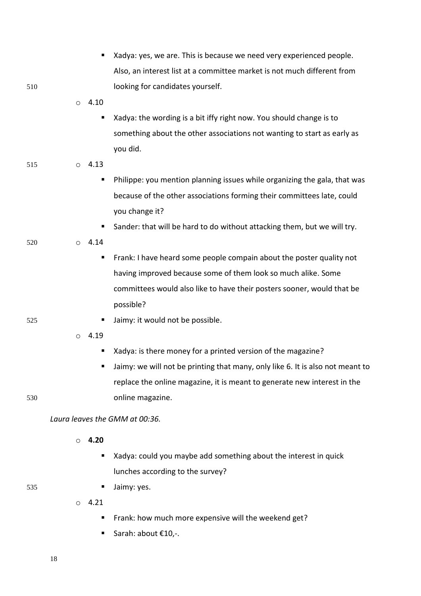|     | ٠                              | Xadya: yes, we are. This is because we need very experienced people.           |
|-----|--------------------------------|--------------------------------------------------------------------------------|
|     |                                | Also, an interest list at a committee market is not much different from        |
| 510 |                                | looking for candidates yourself.                                               |
|     | 4.10<br>$\circ$                |                                                                                |
|     | п                              | Xadya: the wording is a bit iffy right now. You should change is to            |
|     |                                | something about the other associations not wanting to start as early as        |
|     |                                | you did.                                                                       |
| 515 | 4.13<br>$\circ$                |                                                                                |
|     | п                              | Philippe: you mention planning issues while organizing the gala, that was      |
|     |                                | because of the other associations forming their committees late, could         |
|     |                                | you change it?                                                                 |
|     | п                              | Sander: that will be hard to do without attacking them, but we will try.       |
| 520 | 4.14<br>$\circ$                |                                                                                |
|     | п                              | Frank: I have heard some people compain about the poster quality not           |
|     |                                | having improved because some of them look so much alike. Some                  |
|     |                                | committees would also like to have their posters sooner, would that be         |
|     |                                | possible?                                                                      |
| 525 | п                              | Jaimy: it would not be possible.                                               |
|     | 4.19<br>$\circ$                |                                                                                |
|     | п                              | Xadya: is there money for a printed version of the magazine?                   |
|     |                                | Jaimy: we will not be printing that many, only like 6. It is also not meant to |
|     |                                | replace the online magazine, it is meant to generate new interest in the       |
| 530 |                                | online magazine.                                                               |
|     |                                |                                                                                |
|     | Laura leaves the GMM at 00:36. |                                                                                |
|     | 4.20<br>$\circ$                |                                                                                |
|     | п                              | Xadya: could you maybe add something about the interest in quick               |
|     |                                | lunches according to the survey?                                               |
| 535 | Е                              | Jaimy: yes.                                                                    |
|     | 4.21<br>$\circ$                |                                                                                |
|     | п                              | Frank: how much more expensive will the weekend get?                           |
|     | ш                              | Sarah: about €10,-.                                                            |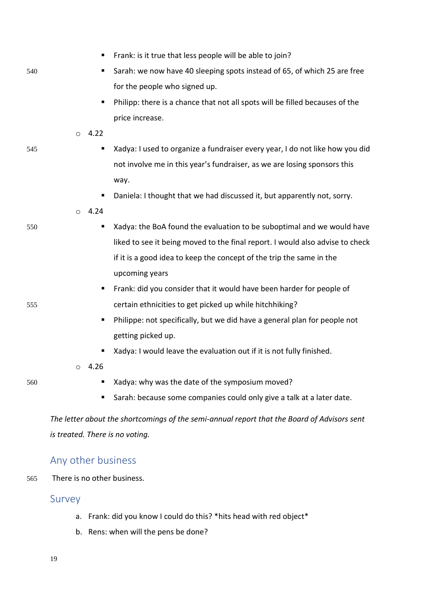|     |                                 | Frank: is it true that less people will be able to join?                                    |
|-----|---------------------------------|---------------------------------------------------------------------------------------------|
| 540 |                                 | Sarah: we now have 40 sleeping spots instead of 65, of which 25 are free                    |
|     |                                 | for the people who signed up.                                                               |
|     | п                               | Philipp: there is a chance that not all spots will be filled becauses of the                |
|     |                                 | price increase.                                                                             |
|     | $\circ$ 4.22                    |                                                                                             |
| 545 | п                               | Xadya: I used to organize a fundraiser every year, I do not like how you did                |
|     |                                 | not involve me in this year's fundraiser, as we are losing sponsors this                    |
|     |                                 | way.                                                                                        |
|     | п                               | Daniela: I thought that we had discussed it, but apparently not, sorry.                     |
|     | 4.24<br>$\circ$                 |                                                                                             |
| 550 | Е                               | Xadya: the BoA found the evaluation to be suboptimal and we would have                      |
|     |                                 | liked to see it being moved to the final report. I would also advise to check               |
|     |                                 | if it is a good idea to keep the concept of the trip the same in the                        |
|     |                                 | upcoming years                                                                              |
|     | ш                               | Frank: did you consider that it would have been harder for people of                        |
| 555 |                                 | certain ethnicities to get picked up while hitchhiking?                                     |
|     | ш                               | Philippe: not specifically, but we did have a general plan for people not                   |
|     |                                 | getting picked up.                                                                          |
|     |                                 | Xadya: I would leave the evaluation out if it is not fully finished.                        |
|     | 4.26                            |                                                                                             |
| 560 |                                 | Xadya: why was the date of the symposium moved?                                             |
|     | п                               | Sarah: because some companies could only give a talk at a later date.                       |
|     |                                 | The letter about the shortcomings of the semi-annual report that the Board of Advisors sent |
|     | is treated. There is no voting. |                                                                                             |
|     |                                 |                                                                                             |
|     |                                 |                                                                                             |

# Any other business

565 There is no other business.

## Survey

- a. Frank: did you know I could do this? \*hits head with red object\*
- b. Rens: when will the pens be done?